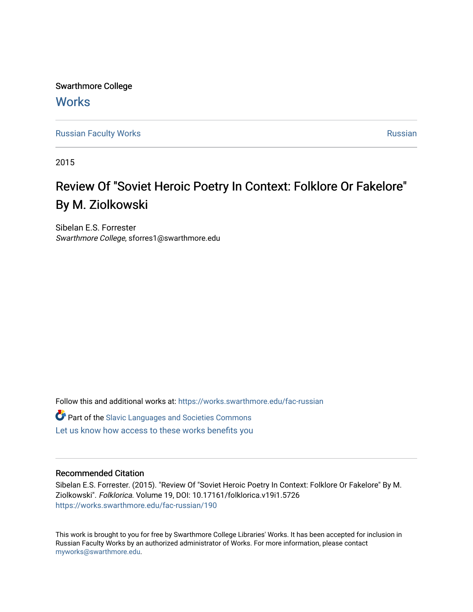Swarthmore College **Works** 

[Russian Faculty Works](https://works.swarthmore.edu/fac-russian) **Russian** [Russian](https://works.swarthmore.edu/russian) Russian Russian

2015

## Review Of "Soviet Heroic Poetry In Context: Folklore Or Fakelore" By M. Ziolkowski

Sibelan E.S. Forrester Swarthmore College, sforres1@swarthmore.edu

Follow this and additional works at: [https://works.swarthmore.edu/fac-russian](https://works.swarthmore.edu/fac-russian?utm_source=works.swarthmore.edu%2Ffac-russian%2F190&utm_medium=PDF&utm_campaign=PDFCoverPages) 

**C** Part of the Slavic Languages and Societies Commons

[Let us know how access to these works benefits you](https://forms.gle/4MB8mE2GywC5965J8) 

## Recommended Citation

Sibelan E.S. Forrester. (2015). "Review Of "Soviet Heroic Poetry In Context: Folklore Or Fakelore" By M. Ziolkowski". Folklorica. Volume 19, DOI: 10.17161/folklorica.v19i1.5726 <https://works.swarthmore.edu/fac-russian/190>

This work is brought to you for free by Swarthmore College Libraries' Works. It has been accepted for inclusion in Russian Faculty Works by an authorized administrator of Works. For more information, please contact [myworks@swarthmore.edu.](mailto:myworks@swarthmore.edu)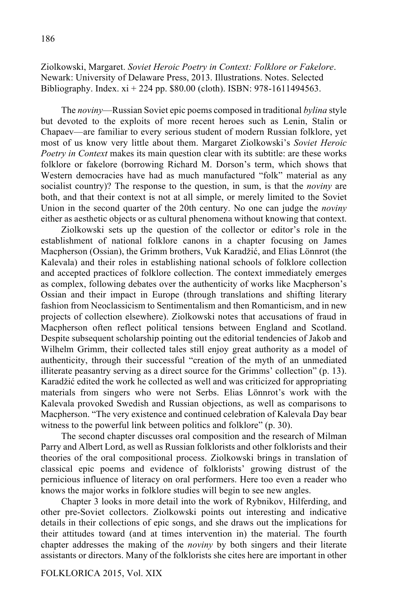Ziolkowski, Margaret. *Soviet Heroic Poetry in Context: Folklore or Fakelore*. Newark: University of Delaware Press, 2013. Illustrations. Notes. Selected Bibliography. Index. xi + 224 pp. \$80.00 (cloth). ISBN: 978-1611494563.

The *noviny*—Russian Soviet epic poems composed in traditional *bylina* style but devoted to the exploits of more recent heroes such as Lenin, Stalin or Chapaev—are familiar to every serious student of modern Russian folklore, yet most of us know very little about them. Margaret Ziolkowski's *Soviet Heroic Poetry in Context* makes its main question clear with its subtitle: are these works folklore or fakelore (borrowing Richard M. Dorson's term, which shows that Western democracies have had as much manufactured "folk" material as any socialist country)? The response to the question, in sum, is that the *noviny* are both, and that their context is not at all simple, or merely limited to the Soviet Union in the second quarter of the 20th century. No one can judge the *noviny* either as aesthetic objects or as cultural phenomena without knowing that context.

Ziolkowski sets up the question of the collector or editor's role in the establishment of national folklore canons in a chapter focusing on James Macpherson (Ossian), the Grimm brothers, Vuk Karadžić, and Elias Lönnrot (the Kalevala) and their roles in establishing national schools of folklore collection and accepted practices of folklore collection. The context immediately emerges as complex, following debates over the authenticity of works like Macpherson's Ossian and their impact in Europe (through translations and shifting literary fashion from Neoclassicism to Sentimentalism and then Romanticism, and in new projects of collection elsewhere). Ziolkowski notes that accusations of fraud in Macpherson often reflect political tensions between England and Scotland. Despite subsequent scholarship pointing out the editorial tendencies of Jakob and Wilhelm Grimm, their collected tales still enjoy great authority as a model of authenticity, through their successful "creation of the myth of an unmediated illiterate peasantry serving as a direct source for the Grimms' collection" (p. 13). Karadžić edited the work he collected as well and was criticized for appropriating materials from singers who were not Serbs. Elias Lönnrot's work with the Kalevala provoked Swedish and Russian objections, as well as comparisons to Macpherson. "The very existence and continued celebration of Kalevala Day bear witness to the powerful link between politics and folklore" (p. 30).

The second chapter discusses oral composition and the research of Milman Parry and Albert Lord, as well as Russian folklorists and other folklorists and their theories of the oral compositional process. Ziolkowski brings in translation of classical epic poems and evidence of folklorists' growing distrust of the pernicious influence of literacy on oral performers. Here too even a reader who knows the major works in folklore studies will begin to see new angles.

Chapter 3 looks in more detail into the work of Rybnikov, Hilferding, and other pre-Soviet collectors. Ziolkowski points out interesting and indicative details in their collections of epic songs, and she draws out the implications for their attitudes toward (and at times intervention in) the material. The fourth chapter addresses the making of the *noviny* by both singers and their literate assistants or directors. Many of the folklorists she cites here are important in other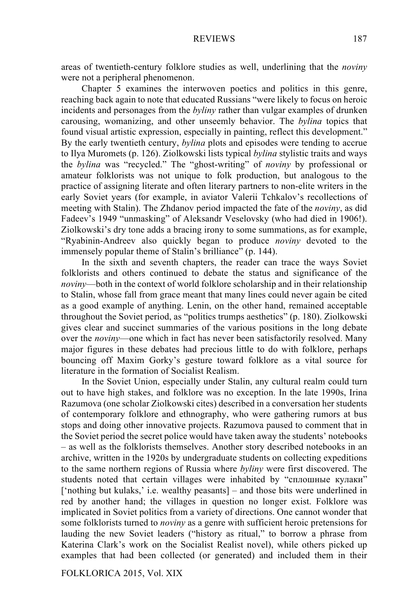areas of twentieth-century folklore studies as well, underlining that the *noviny* were not a peripheral phenomenon.

Chapter 5 examines the interwoven poetics and politics in this genre, reaching back again to note that educated Russians "were likely to focus on heroic incidents and personages from the *byliny* rather than vulgar examples of drunken carousing, womanizing, and other unseemly behavior. The *bylina* topics that found visual artistic expression, especially in painting, reflect this development." By the early twentieth century, *bylina* plots and episodes were tending to accrue to Ilya Muromets (p. 126). Ziolkowski lists typical *bylina* stylistic traits and ways the *bylina* was "recycled." The "ghost-writing" of *noviny* by professional or amateur folklorists was not unique to folk production, but analogous to the practice of assigning literate and often literary partners to non-elite writers in the early Soviet years (for example, in aviator Valerii Tchkalov's recollections of meeting with Stalin). The Zhdanov period impacted the fate of the *noviny*, as did Fadeev's 1949 "unmasking" of Aleksandr Veselovsky (who had died in 1906!). Ziolkowski's dry tone adds a bracing irony to some summations, as for example, "Ryabinin-Andreev also quickly began to produce *noviny* devoted to the immensely popular theme of Stalin's brilliance" (p. 144).

In the sixth and seventh chapters, the reader can trace the ways Soviet folklorists and others continued to debate the status and significance of the *noviny*—both in the context of world folklore scholarship and in their relationship to Stalin, whose fall from grace meant that many lines could never again be cited as a good example of anything. Lenin, on the other hand, remained acceptable throughout the Soviet period, as "politics trumps aesthetics" (p. 180). Ziolkowski gives clear and succinct summaries of the various positions in the long debate over the *noviny*—one which in fact has never been satisfactorily resolved. Many major figures in these debates had precious little to do with folklore, perhaps bouncing off Maxim Gorky's gesture toward folklore as a vital source for literature in the formation of Socialist Realism.

In the Soviet Union, especially under Stalin, any cultural realm could turn out to have high stakes, and folklore was no exception. In the late 1990s, Irina Razumova (one scholar Ziolkowski cites) described in a conversation her students of contemporary folklore and ethnography, who were gathering rumors at bus stops and doing other innovative projects. Razumova paused to comment that in the Soviet period the secret police would have taken away the students' notebooks – as well as the folklorists themselves. Another story described notebooks in an archive, written in the 1920s by undergraduate students on collecting expeditions to the same northern regions of Russia where *byliny* were first discovered. The students noted that certain villages were inhabited by "сплошные кулаки" ['nothing but kulaks,' i.e. wealthy peasants] – and those bits were underlined in red by another hand; the villages in question no longer exist. Folklore was implicated in Soviet politics from a variety of directions. One cannot wonder that some folklorists turned to *noviny* as a genre with sufficient heroic pretensions for lauding the new Soviet leaders ("history as ritual," to borrow a phrase from Katerina Clark's work on the Socialist Realist novel), while others picked up examples that had been collected (or generated) and included them in their

FOLKLORICA 2015, Vol. XIX